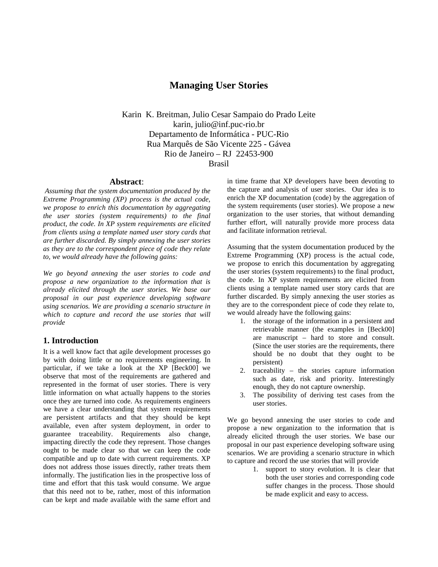# **Managing User Stories**

Karin K. Breitman, Julio Cesar Sampaio do Prado Leite karin, julio@inf.puc-rio.br Departamento de Informática - PUC-Rio Rua Marquês de São Vicente 225 - Gávea Rio de Janeiro – RJ 22453-900 Brasil

#### **Abstract**:

*Assuming that the system documentation produced by the Extreme Programming (XP) process is the actual code, we propose to enrich this documentation by aggregating the user stories (system requirements) to the final product, the code. In XP system requirements are elicited from clients using a template named user story cards that are further discarded. By simply annexing the user stories as they are to the correspondent piece of code they relate to, we would already have the following gains:* 

*We go beyond annexing the user stories to code and propose a new organization to the information that is already elicited through the user stories. We base our proposal in our past experience developing software using scenarios. We are providing a scenario structure in which to capture and record the use stories that will provide*

### **1. Introduction**

It is a well know fact that agile development processes go by with doing little or no requirements engineering. In particular, if we take a look at the XP [Beck00] we observe that most of the requirements are gathered and represented in the format of user stories. There is very little information on what actually happens to the stories once they are turned into code. As requirements engineers we have a clear understanding that system requirements are persistent artifacts and that they should be kept available, even after system deployment, in order to guarantee traceability. Requirements also change, impacting directly the code they represent. Those changes ought to be made clear so that we can keep the code compatible and up to date with current requirements. XP does not address those issues directly, rather treats them informally. The justification lies in the prospective loss of time and effort that this task would consume. We argue that this need not to be, rather, most of this information can be kept and made available with the same effort and in time frame that XP developers have been devoting to the capture and analysis of user stories. Our idea is to enrich the XP documentation (code) by the aggregation of the system requirements (user stories). We propose a new organization to the user stories, that without demanding further effort, will naturally provide more process data and facilitate information retrieval.

Assuming that the system documentation produced by the Extreme Programming (XP) process is the actual code, we propose to enrich this documentation by aggregating the user stories (system requirements) to the final product, the code. In XP system requirements are elicited from clients using a template named user story cards that are further discarded. By simply annexing the user stories as they are to the correspondent piece of code they relate to, we would already have the following gains:

- 1. the storage of the information in a persistent and retrievable manner (the examples in [Beck00] are manuscript – hard to store and consult. (Since the user stories are the requirements, there should be no doubt that they ought to be persistent)
- 2. traceability the stories capture information such as date, risk and priority. Interestingly enough, they do not capture ownership.
- 3. The possibility of deriving test cases from the user stories.

We go beyond annexing the user stories to code and propose a new organization to the information that is already elicited through the user stories. We base our proposal in our past experience developing software using scenarios. We are providing a scenario structure in which to capture and record the use stories that will provide

1. support to story evolution. It is clear that both the user stories and corresponding code suffer changes in the process. Those should be made explicit and easy to access.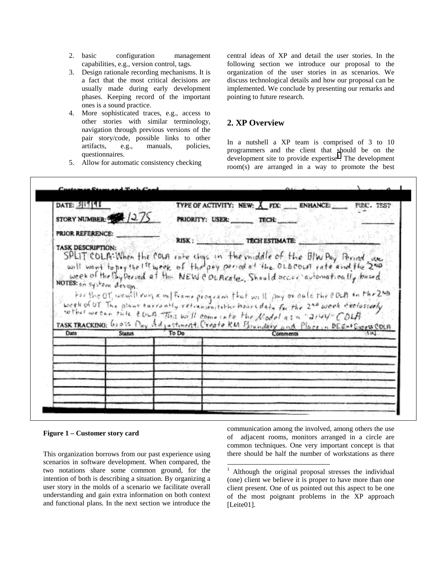- 2. basic configuration management capabilities, e.g., version control, tags.
- 3. Design rationale recording mechanisms. It is a fact that the most critical decisions are usually made during early development phases. Keeping record of the important ones is a sound practice.
- 4. More sophisticated traces, e.g., access to other stories with similar terminology, navigation through previous versions of the pair story/code, possible links to other artifacts, e.g., manuals, policies, questionnaires.
- 5. Allow for automatic consistency checking

central ideas of XP and detail the user stories. In the following section we introduce our proposal to the organization of the user stories in as scenarios. We discuss technological details and how our proposal can be implemented. We conclude by presenting our remarks and pointing to future research.

## **2. XP Overview**

In a nutshell a XP team is comprised of 3 to 10 programmers and the client that should be on the development site to provide expertise<sup>1</sup>. The development room(s) are arranged in a way to promote the best

| DATE: 311141                                                            | TYPE OF ACTIVITY: NEW: $X$ FIX: ENHANCE:<br>FUNC, TEST                                                                                                                                                                                                                        |
|-------------------------------------------------------------------------|-------------------------------------------------------------------------------------------------------------------------------------------------------------------------------------------------------------------------------------------------------------------------------|
| STORY NUMBER: 2/275                                                     | PRIORITY: USER: TECH:                                                                                                                                                                                                                                                         |
| PRIOR REFERENCE:<br><b>TASK DESCRIPTION:</b><br>NOTES: on system design | RISK: TECH ESTIMATE:<br>SPLIT COLA: When the countrate chas in the middle of the BIW Pay Period are well as a country the 1st week of the pay period of the OLA countries and the 200<br>week of the By Decod of the NEW Councile, Should accur automotically bused           |
|                                                                         | For the OT, weight run a information of the form that will pay or calciture COLA in the 2nd<br>week of OT. The phone excremity retinismitative hoursdate for the 2 <sup>40</sup> week exclosively<br>softest we can sule could this will come into the Nodel as a "2144" COLA |
| Date<br><b>Stanus</b>                                                   | TASK TRACKING: Gross Pay Adjustment. Create RM Boundary and Place, a DEEN+Expes COLA<br>To Do<br>Comments                                                                                                                                                                     |
|                                                                         |                                                                                                                                                                                                                                                                               |
|                                                                         |                                                                                                                                                                                                                                                                               |
|                                                                         |                                                                                                                                                                                                                                                                               |

 $\overline{a}$ 

### **Figure 1 – Customer story card**

This organization borrows from our past experience using scenarios in software development. When compared, the two notations share some common ground, for the intention of both is describing a situation. By organizing a user story in the molds of a scenario we facilitate overall understanding and gain extra information on both context and functional plans. In the next section we introduce the

communication among the involved, among others the use of adjacent rooms, monitors arranged in a circle are common techniques. One very important concept is that there should be half the number of workstations as there

<sup>&</sup>lt;sup>1</sup> Although the original proposal stresses the individual (one) client we believe it is proper to have more than one client present. One of us pointed out this aspect to be one of the most poignant problems in the XP approach [Leite01].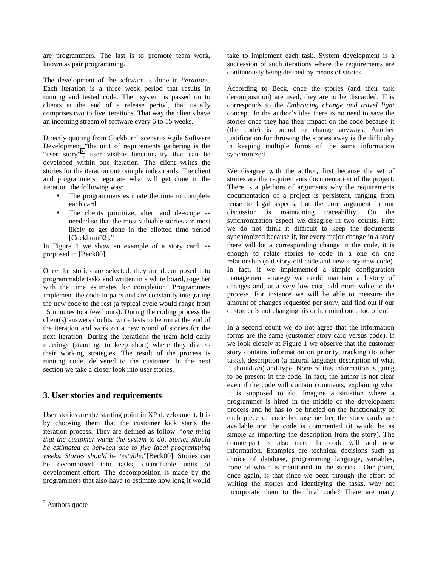are programmers. The last is to promote team work, known as pair programming.

The development of the software is done in *iterations*. Each iteration is a three week period that results in running and tested code. The system is passed on to clients at the end of a release period, that usually comprises two to five iterations. That way the clients have an incoming stream of software every 6 to 15 weeks.

Directly quoting from Cockburn' scenario Agile Software Development "the unit of requirements gathering is the "user story"<sup>2</sup>, user visible functionality that can be developed within one iteration. The client writes the stories for the iteration onto simple index cards. The client and programmers negotiate what will get done in the iteration the following way:

- The programmers estimate the time to complete each card
- The clients prioritize, alter, and de-scope as needed so that the most valuable stories are most likely to get done in the allotted time period [Cockburn02]."

In Figure 1 we show an example of a story card, as proposed in [Beck00].

Once the stories are selected, they are decomposed into programmable tasks and written in a white board, together with the time estimates for completion. Programmers implement the code in pairs and are constantly integrating the new code to the rest (a typical cycle would range from 15 minutes to a few hours). During the coding process the client(s) answers doubts, write tests to be run at the end of the iteration and work on a new round of stories for the next iteration. During the iterations the team hold daily meetings (standing, to keep short) where they discuss their working strategies. The result of the process is running code, delivered to the customer. In the next section we take a closer look into user stories.

### **3. User stories and requirements**

User stories are the starting point in XP development. It is by choosing them that the customer kick starts the iteration process. They are defined as follow: "*one thing that the customer wants the system to do. Stories should be estimated at between one to five ideal programming weeks. Stories should be testable*."[Beck00]. Stories can be decomposed into tasks, quantifiable units of development effort. The decomposition is made by the programmers that also have to estimate how long it would

take to implement each task. System development is a succession of such iterations where the requirements are continuously being defined by means of stories.

According to Beck, once the stories (and their task decomposition) are used, they are to be discarded. This corresponds to the *Embracing change and travel light* concept. In the author's idea there is no need to save the stories once they had their impact on the code because it (the code) is bound to change anyways. Another justification for throwing the stories away is the difficulty in keeping multiple forms of the same information synchronized.

We disagree with the author, first because the set of stories are the requirements documentation of the project. There is a plethora of arguments why the requirements documentation of a project is persistent, ranging from reuse to legal aspects, but the core argument in our discussion is maintaining traceability. On the synchronization aspect we disagree in two counts. First we do not think it difficult to keep the documents synchronized because if, for every major change in a story there will be a corresponding change in the code, it is enough to relate stories to code in a one on one relationship (old story-old code and new-story-new code). In fact, if we implemented a simple configuration management strategy we could maintain a history of changes and, at a very low cost, add more value to the process. For instance we will be able to measure the amount of changes requested per story, and find out if our customer is not changing his or her mind once too often!

In a second count we do not agree that the information forms are the same (customer story card versus code). If we look closely at Figure 1 we observe that the customer story contains information on priority, tracking (to other tasks), description (a natural language description of what it should *do*) and type. None of this information is going to be present in the code. In fact, the author is not clear even if the code will contain comments, explaining what it is supposed to do. Imagine a situation where a programmer is hired in the middle of the development process and he has to be briefed on the functionality of each piece of code because neither the story cards are available nor the code is commented (it would be as simple as importing the description from the story). The counterpart is also true, the code will add new information. Examples are technical decisions such as choice of database, programming language, variables, none of which is mentioned in the stories. Our point, once again, is that since we been through the effort of writing the stories and identifying the tasks, why not incorporate them to the final code? There are many

 $\frac{1}{2}$  Authors quote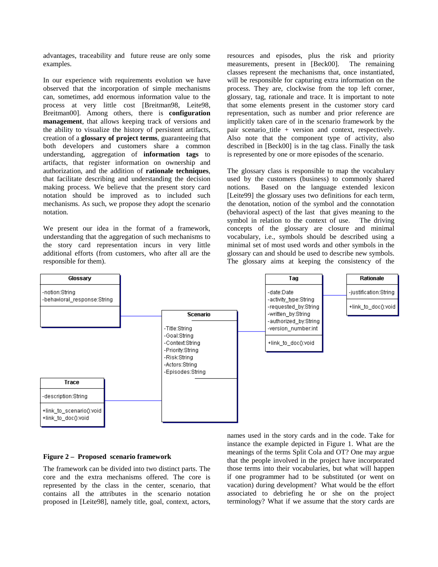advantages, traceability and future reuse are only some examples.

In our experience with requirements evolution we have observed that the incorporation of simple mechanisms can, sometimes, add enormous information value to the process at very little cost [Breitman98, Leite98, Breitman00]. Among others, there is **configuration management**, that allows keeping track of versions and the ability to visualize the history of persistent artifacts, creation of a **glossary of project terms**, guaranteeing that both developers and customers share a common understanding, aggregation of **information tags** to artifacts, that register information on ownership and authorization, and the addition of **rationale techniques**, that facilitate describing and understanding the decision making process. We believe that the present story card notation should be improved as to included such mechanisms. As such, we propose they adopt the scenario notation.

We present our idea in the format of a framework, understanding that the aggregation of such mechanisms to the story card representation incurs in very little additional efforts (from customers, who after all are the responsible for them).

resources and episodes, plus the risk and priority measurements, present in [Beck00]. The remaining classes represent the mechanisms that, once instantiated, will be responsible for capturing extra information on the process. They are, clockwise from the top left corner, glossary, tag, rationale and trace. It is important to note that some elements present in the customer story card representation, such as number and prior reference are implicitly taken care of in the scenario framework by the pair scenario\_title + version and context, respectively. Also note that the component type of activity, also described in [Beck00] is in the tag class. Finally the task is represented by one or more episodes of the scenario.

The glossary class is responsible to map the vocabulary used by the customers (business) to commonly shared notions. Based on the language extended lexicon [Leite99] the glossary uses two definitions for each term, the denotation, notion of the symbol and the connotation (behavioral aspect) of the last that gives meaning to the symbol in relation to the context of use. The driving concepts of the glossary are closure and minimal vocabulary, i.e., symbols should be described using a minimal set of most used words and other symbols in the glossary can and should be used to describe new symbols. The glossary aims at keeping the consistency of the



#### **Figure 2 – Proposed scenario framework**

The framework can be divided into two distinct parts. The core and the extra mechanisms offered. The core is represented by the class in the center, scenario, that contains all the attributes in the scenario notation proposed in [Leite98], namely title, goal, context, actors, names used in the story cards and in the code. Take for instance the example depicted in Figure 1. What are the meanings of the terms Split Cola and OT? One may argue that the people involved in the project have incorporated those terms into their vocabularies, but what will happen if one programmer had to be substituted (or went on vacation) during development? What would be the effort associated to debriefing he or she on the project terminology? What if we assume that the story cards are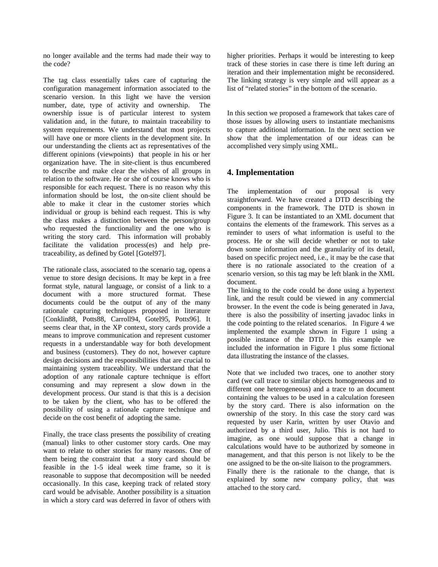no longer available and the terms had made their way to the code?

The tag class essentially takes care of capturing the configuration management information associated to the scenario version. In this light we have the version number, date, type of activity and ownership. The ownership issue is of particular interest to system validation and, in the future, to maintain traceability to system requirements. We understand that most projects will have one or more clients in the development site. In our understanding the clients act as representatives of the different opinions (viewpoints) that people in his or her organization have. The in site-client is thus encumbered to describe and make clear the wishes of all groups in relation to the software. He or she of course knows who is responsible for each request. There is no reason why this information should be lost, the on-site client should be able to make it clear in the customer stories which individual or group is behind each request. This is why the class makes a distinction between the person/group who requested the functionality and the one who is writing the story card. This information will probably facilitate the validation process(es) and help pretraceability, as defined by Gotel [Gotel97].

The rationale class, associated to the scenario tag, opens a venue to store design decisions. It may be kept in a free format style, natural language, or consist of a link to a document with a more structured format. These documents could be the output of any of the many rationale capturing techniques proposed in literature [Conklin88, Potts88, Carroll94, Gotel95, Potts96]. It seems clear that, in the XP context, story cards provide a means to improve communication and represent customer requests in a understandable way for both development and business (customers). They do not, however capture design decisions and the responsibilities that are crucial to maintaining system traceability. We understand that the adoption of any rationale capture technique is effort consuming and may represent a slow down in the development process. Our stand is that this is a decision to be taken by the client, who has to be offered the possibility of using a rationale capture technique and decide on the cost benefit of adopting the same.

Finally, the trace class presents the possibility of creating (manual) links to other customer story cards. One may want to relate to other stories for many reasons. One of them being the constraint that a story card should be feasible in the 1-5 ideal week time frame, so it is reasonable to suppose that decomposition will be needed occasionally. In this case, keeping track of related story card would be advisable. Another possibility is a situation in which a story card was deferred in favor of others with higher priorities. Perhaps it would be interesting to keep track of these stories in case there is time left during an iteration and their implementation might be reconsidered. The linking strategy is very simple and will appear as a list of "related stories" in the bottom of the scenario.

In this section we proposed a framework that takes care of those issues by allowing users to instantiate mechanisms to capture additional information. In the next section we show that the implementation of our ideas can be accomplished very simply using XML.

## **4. Implementation**

The implementation of our proposal is very straightforward. We have created a DTD describing the components in the framework. The DTD is shown in Figure 3. It can be instantiated to an XML document that contains the elements of the framework. This serves as a reminder to users of what information is useful to the process. He or she will decide whether or not to take down some information and the granularity of its detail, based on specific project need, i.e., it may be the case that there is no rationale associated to the creation of a scenario version, so this tag may be left blank in the XML document.

The linking to the code could be done using a hypertext link, and the result could be viewed in any commercial browser. In the event the code is being generated in Java, there is also the possibility of inserting javadoc links in the code pointing to the related scenarios. In Figure 4 we implemented the example shown in Figure 1 using a possible instance of the DTD. In this example we included the information in Figure 1 plus some fictional data illustrating the instance of the classes.

Note that we included two traces, one to another story card (we call trace to similar objects homogeneous and to different one heterogeneous) and a trace to an document containing the values to be used in a calculation foreseen by the story card. There is also information on the ownership of the story. In this case the story card was requested by user Karin, written by user Otavio and authorized by a third user, Julio. This is not hard to imagine, as one would suppose that a change in calculations would have to be authorized by someone in management, and that this person is not likely to be the one assigned to be the on-site liaison to the programmers. Finally there is the rationale to the change, that is explained by some new company policy, that was

attached to the story card.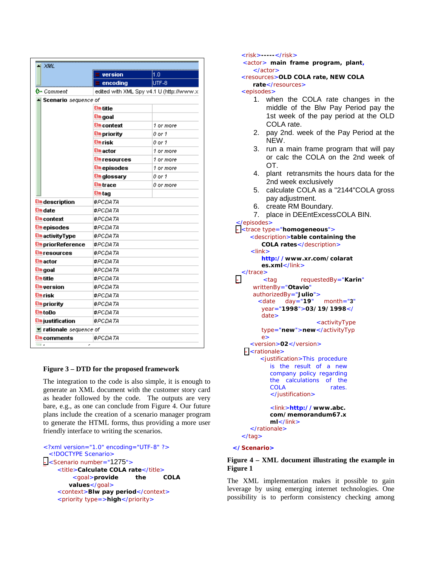| -1 XML                    | version             | 1.0                                      |  |
|---------------------------|---------------------|------------------------------------------|--|
|                           | encoding            | UTF-8                                    |  |
| Q⊷ Comment                |                     | edited with XML Spy v4.1 U (http://www.x |  |
|                           |                     |                                          |  |
| Scenario sequence of      | Elm title           |                                          |  |
|                           | Elm goal            |                                          |  |
|                           | Elm context         | 1 or more                                |  |
|                           | <b>Elm</b> priority | 0 or 1                                   |  |
|                           | Elm isk             | 0 or 1                                   |  |
|                           |                     |                                          |  |
|                           | Elm actor           | 1 or more                                |  |
|                           | Elm resources       | 1 or more                                |  |
|                           | Elm episodes        | 1 or more                                |  |
|                           | <u>Elmglossary</u>  | 0 or 1                                   |  |
|                           | Elmtrace            | 0 or more                                |  |
|                           | Elm tag             |                                          |  |
| <b>Elm</b> description    | #PCDATA             |                                          |  |
| Elm date                  | #PCDATA             |                                          |  |
| Elm context               | #PCDATA             |                                          |  |
| Elmepisodes               | #PCDATA             |                                          |  |
| <b>Elm</b> activityType   | #PCDATA             |                                          |  |
| <b>Elm</b> priorReference | #PCDATA             |                                          |  |
| Elm resources             | #PCDATA             |                                          |  |
| Elm actor                 | #PCDATA             |                                          |  |
| Elm goal                  | #PCDATA             |                                          |  |
| Elm ritle                 | #PCDATA             |                                          |  |
| Elm version               | #PCDATA             |                                          |  |
| Elmrisk                   | #PCDATA             |                                          |  |
| Elm priority              | #PCDATA             |                                          |  |
| Elm toDo                  | #PCDATA             |                                          |  |
| <b>Elm</b> justification  | #PCDATA             |                                          |  |
| ■ rationale sequence of   |                     |                                          |  |
| <sup>Elm</sup> comments   | #PCDATA             |                                          |  |

#### **Figure 3 – DTD for the proposed framework**

The integration to the code is also simple, it is enough to generate an XML document with the customer story card as header followed by the code. The outputs are very bare, e.g., as one can conclude from Figure 4. Our future plans include the creation of a scenario manager program to generate the HTML forms, thus providing a more user friendly interface to writing the scenarios.

```
<?xml version="1.0" encoding="UTF-8" ?> 
  <!DOCTYPE Scenario> 
- <Scenario number="1275">
    <title>Calculate COLA rate</title>
         <goal>provide the COLA 
        values</goal> 
    <context>Blw pay period</context> 
    <priority type=>high</priority>
```
<risk>**-----**</risk>

<actor> **main frame program, plant,** </actor>

<resources>**OLD COLA rate, NEW COLA rate**</resources>

<episodes>

- 1. when the COLA rate changes in the middle of the Blw Pay Period pay the 1st week of the pay period at the OLD COLA rate.
- 2. pay 2nd. week of the Pay Period at the NEW.
- 3. run a main frame program that will pay or calc the COLA on the 2nd week of OT.
- 4. plant retransmits the hours data for the 2nd week exclusively
- 5. calculate COLA as a "2144"COLA gross pay adjustment.
- 6. create RM Boundary.
- 7. place in DEEntExcessCOLA BIN.

</episodes> **-** <trace type="**homogeneous**">

```
<description>table containing the 
       COLA rates</description> 
    \epsilonlink\epsilonhttp://www.xr.com/colarat
       es.xml</link>
 </trace>
- <tag requestedBy="Karin"
     writtenBy="Otavio"
     authorizedBy="Julio">
       <date day="19" month="3"
       year="1998">03/19/1998</
       date> 
                        <activityType 
       type="new">new</activityTyp
       e> 
    <version>02</version> 
  - <rationale>
       <justification>This procedure 
          is the result of a new 
          company policy regarding 
          the calculations of the 
          COLA rates.
          </justification> 
          <link>http://www.abc.
          com/memorandum67.x
          ml</link> 
    </rationale>
```
</tag>

```
</Scenario>
```
### **Figure 4 – XML document illustrating the example in Figure 1**

The XML implementation makes it possible to gain leverage by using emerging internet technologies. One possibility is to perform consistency checking among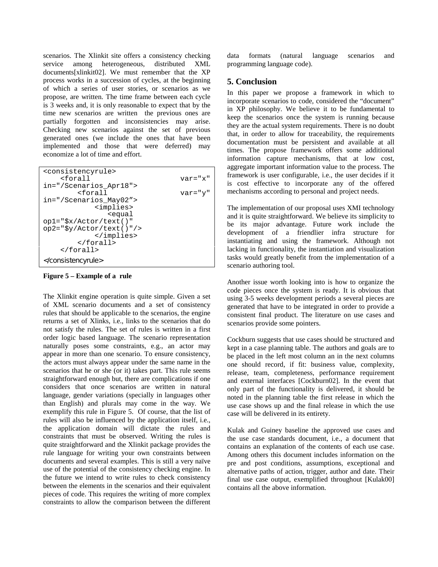scenarios. The Xlinkit site offers a consistency checking service among heterogeneous, distributed XML documents[xlinkit02]. We must remember that the XP process works in a succession of cycles, at the beginning of which a series of user stories, or scenarios as we propose, are written. The time frame between each cycle is 3 weeks and, it is only reasonable to expect that by the time new scenarios are written the previous ones are partially forgotten and inconsistencies may arise. Checking new scenarios against the set of previous generated ones (we include the ones that have been implemented and those that were deferred) may economize a lot of time and effort.

| <consistencyrule></consistencyrule>                             |                    |  |
|-----------------------------------------------------------------|--------------------|--|
| <forall< td=""><td><math>var = "x"</math></td></forall<>        | $var = "x"$        |  |
| in="/Scenarios Apr18">                                          |                    |  |
| <forall< td=""><td><math>\text{var} = "y"</math></td></forall<> | $\text{var} = "y"$ |  |
| in="/Scenarios_May02">                                          |                    |  |
| <implies></implies>                                             |                    |  |
| <eaual< td=""><td></td></eaual<>                                |                    |  |
| $op1 = "Sx/Action/text()$                                       |                    |  |
| $op2 = "Sy/Actor/text()"$                                       |                    |  |
|                                                                 |                    |  |
| $\langle$ (forall)                                              |                    |  |
|                                                                 |                    |  |
|                                                                 |                    |  |

**Figure 5 – Example of a rule** 

The Xlinkit engine operation is quite simple. Given a set of XML scenario documents and a set of consistency rules that should be applicable to the scenarios, the engine returns a set of Xlinks, i.e., links to the scenarios that do not satisfy the rules. The set of rules is written in a first order logic based language. The scenario representation naturally poses some constraints, e.g., an actor may appear in more than one scenario. To ensure consistency, the actors must always appear under the same name in the scenarios that he or she (or it) takes part. This rule seems straightforward enough but, there are complications if one considers that once scenarios are written in natural language, gender variations (specially in languages other than English) and plurals may come in the way. We exemplify this rule in Figure 5. Of course, that the list of rules will also be influenced by the application itself, i.e., the application domain will dictate the rules and constraints that must be observed. Writing the rules is quite straightforward and the Xlinkit package provides the rule language for writing your own constraints between documents and several examples. This is still a very naïve use of the potential of the consistency checking engine. In the future we intend to write rules to check consistency between the elements in the scenarios and their equivalent pieces of code. This requires the writing of more complex constraints to allow the comparison between the different

data formats (natural language scenarios and programming language code).

## **5. Conclusion**

In this paper we propose a framework in which to incorporate scenarios to code, considered the "document" in XP philosophy. We believe it to be fundamental to keep the scenarios once the system is running because they are the actual system requirements. There is no doubt that, in order to allow for traceability, the requirements documentation must be persistent and available at all times. The propose framework offers some additional information capture mechanisms, that at low cost, aggregate important information value to the process. The framework is user configurable, i.e., the user decides if it is cost effective to incorporate any of the offered mechanisms according to personal and project needs.

The implementation of our proposal uses XMI technology and it is quite straightforward. We believe its simplicity to be its major advantage. Future work include the development of a friendlier infra structure for instantiating and using the framework. Although not lacking in functionality, the instantiation and visualization tasks would greatly benefit from the implementation of a scenario authoring tool.

Another issue worth looking into is how to organize the code pieces once the system is ready. It is obvious that using 3-5 weeks development periods a several pieces are generated that have to be integrated in order to provide a consistent final product. The literature on use cases and scenarios provide some pointers.

Cockburn suggests that use cases should be structured and kept in a case planning table. The authors and goals are to be placed in the left most column an in the next columns one should record, if fit: business value, complexity, release, team, completeness, performance requirement and external interfaces [Cockburn02]. In the event that only part of the functionality is delivered, it should be noted in the planning table the first release in which the use case shows up and the final release in which the use case will be delivered in its entirety.

Kulak and Guiney baseline the approved use cases and the use case standards document, i.e., a document that contains an explanation of the contents of each use case. Among others this document includes information on the pre and post conditions, assumptions, exceptional and alternative paths of action, trigger, author and date. Their final use case output, exemplified throughout [Kulak00] contains all the above information.